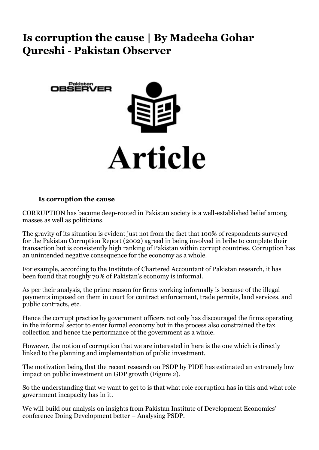## **Is corruption the cause | By Madeeha Gohar Qureshi - Pakistan Observer**



## **Is corruption the cause**

CORRUPTION has become deep-rooted in Pakistan society is a well-established belief among masses as well as politicians.

The gravity of its situation is evident just not from the fact that 100% of respondents surveyed for the Pakistan Corruption Report (2002) agreed in being involved in bribe to complete their transaction but is consistently high ranking of Pakistan within corrupt countries. Corruption has an unintended negative consequence for the economy as a whole.

For example, according to the Institute of Chartered Accountant of Pakistan research, it has been found that roughly 70% of Pakistan's economy is informal.

As per their analysis, the prime reason for firms working informally is because of the illegal payments imposed on them in court for contract enforcement, trade permits, land services, and public contracts, etc.

Hence the corrupt practice by government officers not only has discouraged the firms operating in the informal sector to enter formal economy but in the process also constrained the tax collection and hence the performance of the government as a whole.

However, the notion of corruption that we are interested in here is the one which is directly linked to the planning and implementation of public investment.

The motivation being that the recent research on PSDP by PIDE has estimated an extremely low impact on public investment on GDP growth (Figure 2).

So the understanding that we want to get to is that what role corruption has in this and what role government incapacity has in it.

We will build our analysis on insights from Pakistan Institute of Development Economics' conference Doing Development better – Analysing PSDP.